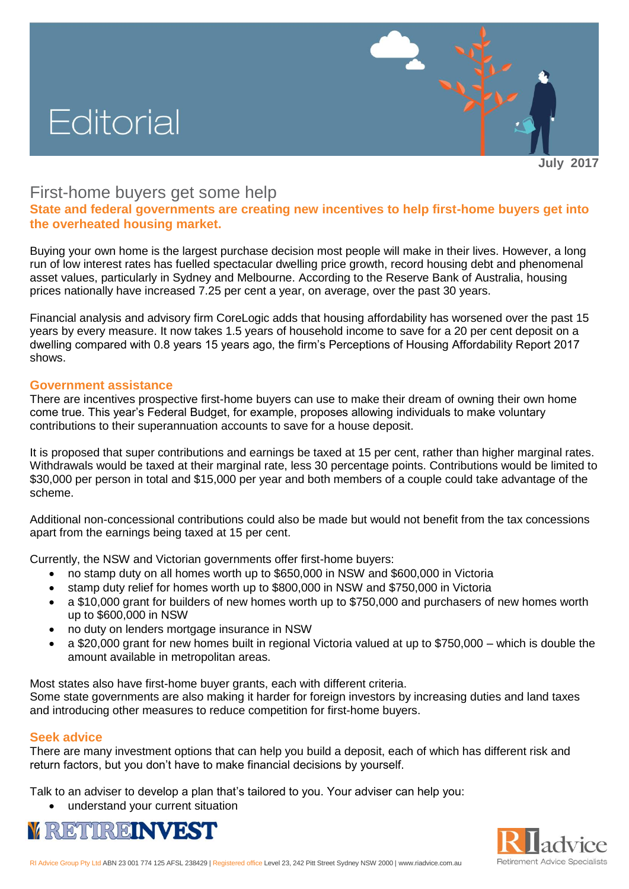# Editorial

**July 2017**

## First-home buyers get some help

**State and federal governments are creating new incentives to help first-home buyers get into the overheated housing market.** 

Buying your own home is the largest purchase decision most people will make in their lives. However, a long run of low interest rates has fuelled spectacular dwelling price growth, record housing debt and phenomenal asset values, particularly in Sydney and Melbourne. According to the Reserve Bank of Australia, housing prices nationally have increased 7.25 per cent a year, on average, over the past 30 years.

Financial analysis and advisory firm CoreLogic adds that housing affordability has worsened over the past 15 years by every measure. It now takes 1.5 years of household income to save for a 20 per cent deposit on a dwelling compared with 0.8 years 15 years ago, the firm's Perceptions of Housing Affordability Report 2017 shows.

#### **Government assistance**

There are incentives prospective first-home buyers can use to make their dream of owning their own home come true. This year's Federal Budget, for example, proposes allowing individuals to make voluntary contributions to their superannuation accounts to save for a house deposit.

It is proposed that super contributions and earnings be taxed at 15 per cent, rather than higher marginal rates. Withdrawals would be taxed at their marginal rate, less 30 percentage points. Contributions would be limited to \$30,000 per person in total and \$15,000 per year and both members of a couple could take advantage of the scheme.

Additional non-concessional contributions could also be made but would not benefit from the tax concessions apart from the earnings being taxed at 15 per cent.

Currently, the NSW and Victorian governments offer first-home buyers:

- no stamp duty on all homes worth up to \$650,000 in NSW and \$600,000 in Victoria
- stamp duty relief for homes worth up to \$800,000 in NSW and \$750,000 in Victoria
- a \$10,000 grant for builders of new homes worth up to \$750,000 and purchasers of new homes worth up to \$600,000 in NSW
- no duty on lenders mortgage insurance in NSW
- a \$20,000 grant for new homes built in regional Victoria valued at up to \$750,000 which is double the amount available in metropolitan areas.

Most states also have first-home buyer grants, each with different criteria. Some state governments are also making it harder for foreign investors by increasing duties and land taxes and introducing other measures to reduce competition for first-home buyers.

### **Seek advice**

There are many investment options that can help you build a deposit, each of which has different risk and return factors, but you don't have to make financial decisions by yourself.

Talk to an adviser to develop a plan that's tailored to you. Your adviser can help you:

• understand your current situation